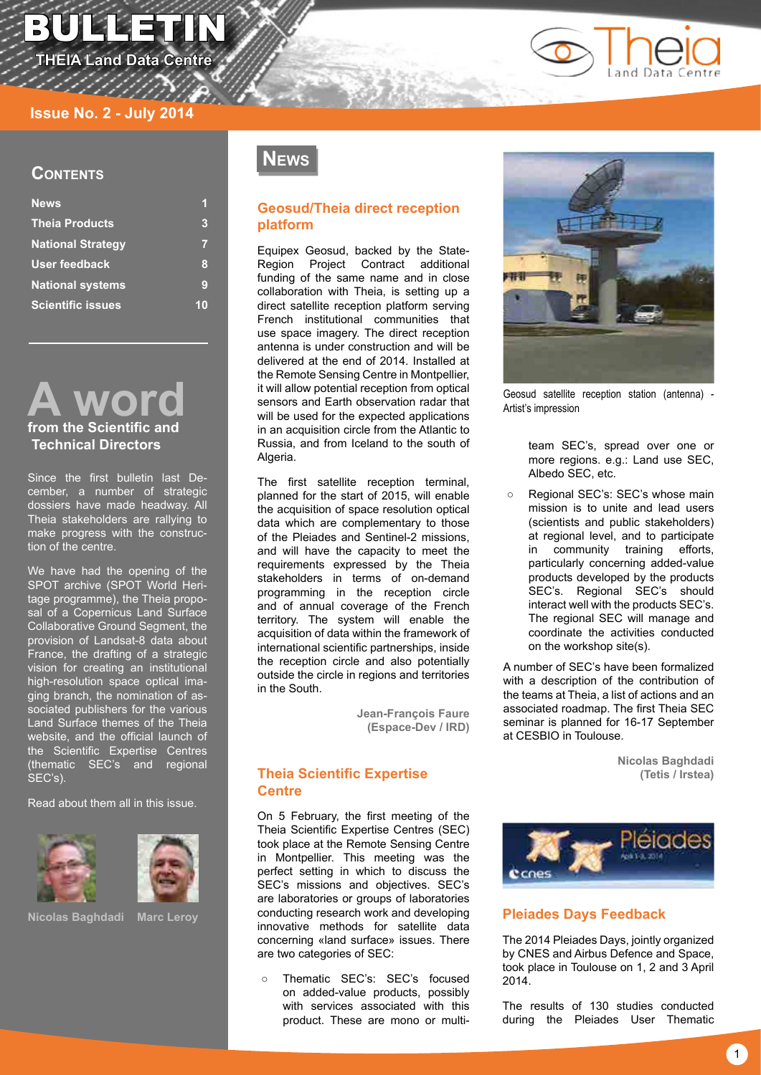# bulletin

**THEIA Land Data Centre** 



# **Contents**

| <b>News</b>              |   |
|--------------------------|---|
| <b>Theia Products</b>    | 3 |
| <b>National Strategy</b> |   |
| <b>User feedback</b>     | 8 |
| <b>National systems</b>  | 9 |
| <b>Scientific issues</b> |   |



# **from the Scientific and Technical Directors**

Since the first bulletin last December, a number of strategic dossiers have made headway. All Theia stakeholders are rallying to make progress with the construction of the centre.

We have had the opening of the SPOT archive (SPOT World Heritage programme), the Theia proposal of a Copernicus Land Surface Collaborative Ground Segment, the provision of Landsat-8 data about France, the drafting of a strategic vision for creating an institutional high-resolution space optical imaging branch, the nomination of associated publishers for the various Land Surface themes of the Theia website, and the official launch of the Scientific Expertise Centres (thematic SEC's and regional SEC's).

Read about them all in this issue.





**Nicolas Baghdadi Marc Leroy**

# **News**

# **Geosud/Theia direct reception platform**

Equipex Geosud, backed by the State-Region Project Contract additional funding of the same name and in close collaboration with Theia, is setting up a direct satellite reception platform serving French institutional communities that use space imagery. The direct reception antenna is under construction and will be delivered at the end of 2014. Installed at the Remote Sensing Centre in Montpellier, it will allow potential reception from optical sensors and Earth observation radar that will be used for the expected applications in an acquisition circle from the Atlantic to Russia, and from Iceland to the south of Algeria.

The first satellite reception terminal, planned for the start of 2015, will enable the acquisition of space resolution optical data which are complementary to those of the Pleiades and Sentinel-2 missions, and will have the capacity to meet the requirements expressed by the Theia stakeholders in terms of on-demand programming in the reception circle and of annual coverage of the French territory. The system will enable the acquisition of data within the framework of international scientific partnerships, inside the reception circle and also potentially outside the circle in regions and territories in the South.

> **Jean-François Faure (Espace-Dev / IRD)**

# **Theia Scientific Expertise Centre**

On 5 February, the first meeting of the Theia Scientific Expertise Centres (SEC) took place at the Remote Sensing Centre in Montpellier. This meeting was the perfect setting in which to discuss the SEC's missions and objectives. SEC's are laboratories or groups of laboratories conducting research work and developing innovative methods for satellite data concerning «land surface» issues. There are two categories of SEC:

○ Thematic SEC's: SEC's focused on added-value products, possibly with services associated with this product. These are mono or multi-



Geosud satellite reception station (antenna) - Artist's impression

team SEC's, spread over one or more regions. e.g.: Land use SEC. Albedo SEC, etc.

Regional SEC's: SEC's whose main mission is to unite and lead users (scientists and public stakeholders) at regional level, and to participate<br>in community training efforts. training efforts, particularly concerning added-value products developed by the products SEC's. Regional SEC's should interact well with the products SEC's. The regional SEC will manage and coordinate the activities conducted on the workshop site(s).

A number of SEC's have been formalized with a description of the contribution of the teams at Theia, a list of actions and an associated roadmap. The first Theia SEC seminar is planned for 16-17 September at CESBIO in Toulouse.

> **Nicolas Baghdadi (Tetis / Irstea)**



# **Pleiades Days Feedback**

The 2014 Pleiades Days, jointly organized by CNES and Airbus Defence and Space, took place in Toulouse on 1, 2 and 3 April 2014.

The results of 130 studies conducted during the Pleiades User Thematic

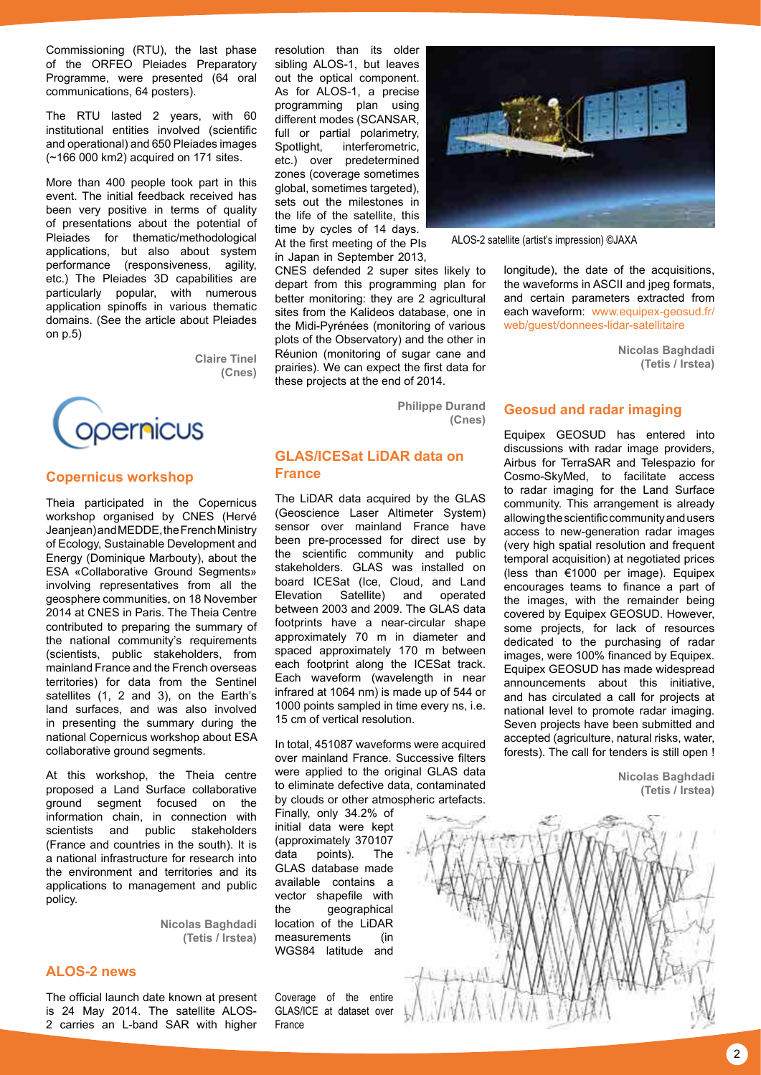Commissioning (RTU), the last phase of the ORFEO Pleiades Preparatory Programme, were presented (64 oral communications, 64 posters).

The RTU lasted 2 years, with 60 institutional entities involved (scientific and operational) and 650 Pleiades images (~166 000 km2) acquired on 171 sites.

More than 400 people took part in this event. The initial feedback received has been very positive in terms of quality of presentations about the potential of Pleiades for thematic/methodological applications, but also about system performance (responsiveness, agility, etc.) The Pleiades 3D capabilities are particularly popular, with numerous application spinoffs in various thematic domains. (See the article about Pleiades on p.5)

> **Claire Tinel (Cnes)**



#### **Copernicus workshop**

Theia participated in the Copernicus workshop organised by CNES (Hervé Jeanjean) and MEDDE, the French Ministry of Ecology, Sustainable Development and Energy (Dominique Marbouty), about the ESA «Collaborative Ground Segments» involving representatives from all the geosphere communities, on 18 November 2014 at CNES in Paris. The Theia Centre contributed to preparing the summary of the national community's requirements (scientists, public stakeholders, from mainland France and the French overseas territories) for data from the Sentinel satellites (1, 2 and 3), on the Earth's land surfaces, and was also involved in presenting the summary during the national Copernicus workshop about ESA collaborative ground segments.

At this workshop, the Theia centre proposed a Land Surface collaborative ground segment focused on the information chain, in connection with scientists and public stakeholders (France and countries in the south). It is a national infrastructure for research into the environment and territories and its applications to management and public policy.

> **Nicolas Baghdadi (Tetis / Irstea)**

# **ALOS-2 news**

The official launch date known at present is 24 May 2014. The satellite ALOS-2 carries an L-band SAR with higher

resolution than its older sibling ALOS-1, but leaves out the optical component. As for ALOS-1, a precise programming plan using different modes (SCANSAR, full or partial polarimetry,<br>Spotlight, interferometric, interferometric, etc.) over predetermined zones (coverage sometimes global, sometimes targeted), sets out the milestones in the life of the satellite, this time by cycles of 14 days. At the first meeting of the PIs in Japan in September 2013,

CNES defended 2 super sites likely to depart from this programming plan for better monitoring: they are 2 agricultural sites from the Kalideos database, one in the Midi-Pyrénées (monitoring of various plots of the Observatory) and the other in Réunion (monitoring of sugar cane and prairies). We can expect the first data for these projects at the end of 2014.

> **Philippe Durand (Cnes)**

# **GLAS/ICESat LiDAR data on France**

The LiDAR data acquired by the GLAS (Geoscience Laser Altimeter System) sensor over mainland France have been pre-processed for direct use by the scientific community and public stakeholders. GLAS was installed on board ICESat (Ice, Cloud, and Land Elevation Satellite) and operated between 2003 and 2009. The GLAS data footprints have a near-circular shape approximately 70 m in diameter and spaced approximately 170 m between each footprint along the ICESat track. Each waveform (wavelength in near infrared at 1064 nm) is made up of 544 or 1000 points sampled in time every ns, i.e. 15 cm of vertical resolution.

In total, 451087 waveforms were acquired over mainland France. Successive filters were applied to the original GLAS data to eliminate defective data, contaminated by clouds or other atmospheric artefacts.

Finally, only 34.2% of initial data were kept (approximately 370107 data points). The GLAS database made available contains a vector shapefile with the geographical location of the LiDAR measurements (in WGS84 latitude and

Coverage of the entire GLAS/ICE at dataset over France



ALOS-2 satellite (artist's impression) ©JAXA

longitude), the date of the acquisitions, the waveforms in ASCII and jpeg formats, and certain parameters extracted from each waveform: [www.equipex-geosud.fr/](http://www.equipex-geosud.fr/web/
guest/donnees-lidar-satellitaire) [web/guest/donnees-lidar-satellitaire](http://www.equipex-geosud.fr/web/
guest/donnees-lidar-satellitaire)

> **Nicolas Baghdadi (Tetis / Irstea)**

#### **Geosud and radar imaging**

Equipex GEOSUD has entered into discussions with radar image providers, Airbus for TerraSAR and Telespazio for Cosmo-SkyMed, to facilitate access to radar imaging for the Land Surface community. This arrangement is already allowing the scientific community and users access to new-generation radar images (very high spatial resolution and frequent temporal acquisition) at negotiated prices (less than €1000 per image). Equipex encourages teams to finance a part of the images, with the remainder being covered by Equipex GEOSUD. However, some projects, for lack of resources dedicated to the purchasing of radar images, were 100% financed by Equipex. Equipex GEOSUD has made widespread announcements about this initiative, and has circulated a call for projects at national level to promote radar imaging. Seven projects have been submitted and accepted (agriculture, natural risks, water, forests). The call for tenders is still open !

> **Nicolas Baghdadi (Tetis / Irstea)**

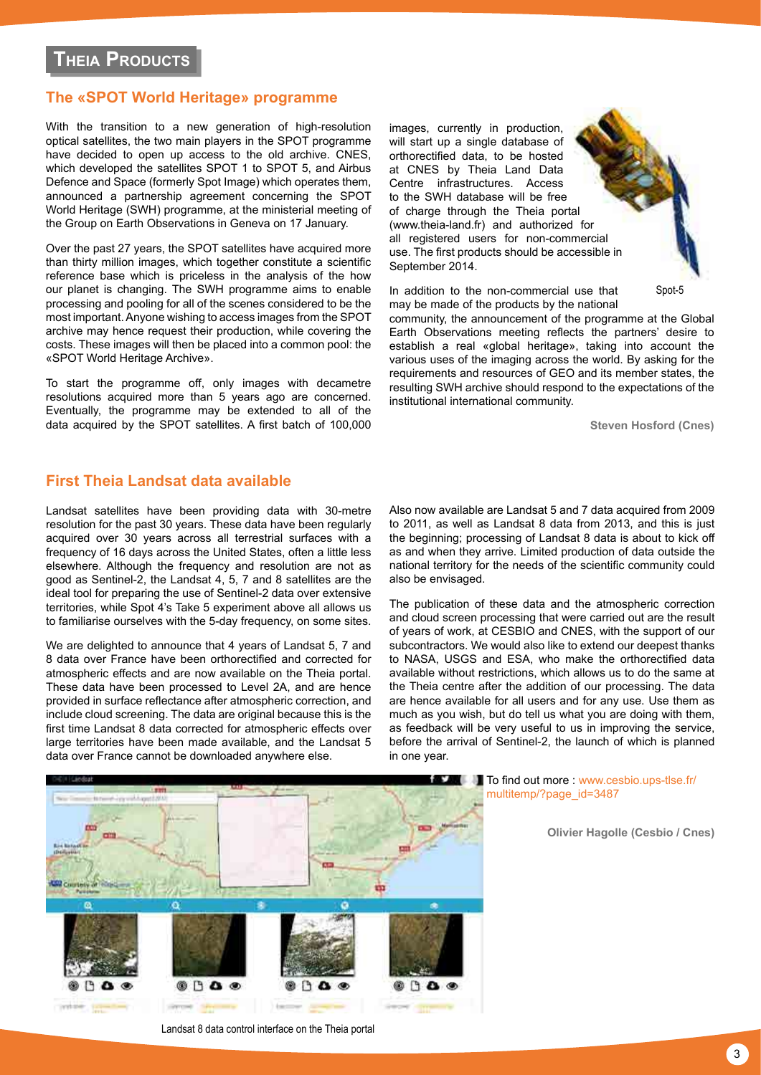# <span id="page-2-0"></span>**The «SPOT World Heritage» programme**

With the transition to a new generation of high-resolution optical satellites, the two main players in the SPOT programme have decided to open up access to the old archive. CNES, which developed the satellites SPOT 1 to SPOT 5, and Airbus Defence and Space (formerly Spot Image) which operates them, announced a partnership agreement concerning the SPOT World Heritage (SWH) programme, at the ministerial meeting of the Group on Earth Observations in Geneva on 17 January.

Over the past 27 years, the SPOT satellites have acquired more than thirty million images, which together constitute a scientific reference base which is priceless in the analysis of the how our planet is changing. The SWH programme aims to enable processing and pooling for all of the scenes considered to be the most important. Anyone wishing to access images from the SPOT archive may hence request their production, while covering the costs. These images will then be placed into a common pool: the «SPOT World Heritage Archive».

To start the programme off, only images with decametre resolutions acquired more than 5 years ago are concerned. Eventually, the programme may be extended to all of the data acquired by the SPOT satellites. A first batch of 100,000 images, currently in production, will start up a single database of orthorectified data, to be hosted at CNES by Theia Land Data Centre infrastructures. Access to the SWH database will be free of charge through the Theia portal ([www.theia-land.fr\)](www.theia-land.fr) and authorized for all registered users for non-commercial use. The first products should be accessible in September 2014.

In addition to the non-commercial use that may be made of the products by the national

community, the announcement of the programme at the Global Earth Observations meeting reflects the partners' desire to establish a real «global heritage», taking into account the various uses of the imaging across the world. By asking for the requirements and resources of GEO and its member states, the resulting SWH archive should respond to the expectations of the institutional international community.

**Steven Hosford (Cnes)**

Spot-5

# **First Theia Landsat data available**

Landsat satellites have been providing data with 30-metre resolution for the past 30 years. These data have been regularly acquired over 30 years across all terrestrial surfaces with a frequency of 16 days across the United States, often a little less elsewhere. Although the frequency and resolution are not as good as Sentinel-2, the Landsat 4, 5, 7 and 8 satellites are the ideal tool for preparing the use of Sentinel-2 data over extensive territories, while Spot 4's Take 5 experiment above all allows us to familiarise ourselves with the 5-day frequency, on some sites.

We are delighted to announce that 4 years of Landsat 5, 7 and 8 data over France have been orthorectified and corrected for atmospheric effects and are now available on the Theia portal. These data have been processed to Level 2A, and are hence provided in surface reflectance after atmospheric correction, and include cloud screening. The data are original because this is the first time Landsat 8 data corrected for atmospheric effects over large territories have been made available, and the Landsat 5 data over France cannot be downloaded anywhere else.

Also now available are Landsat 5 and 7 data acquired from 2009 to 2011, as well as Landsat 8 data from 2013, and this is just the beginning; processing of Landsat 8 data is about to kick off as and when they arrive. Limited production of data outside the national territory for the needs of the scientific community could also be envisaged.

The publication of these data and the atmospheric correction and cloud screen processing that were carried out are the result of years of work, at CESBIO and CNES, with the support of our subcontractors. We would also like to extend our deepest thanks to NASA, USGS and ESA, who make the orthorectified data available without restrictions, which allows us to do the same at the Theia centre after the addition of our processing. The data are hence available for all users and for any use. Use them as much as you wish, but do tell us what you are doing with them, as feedback will be very useful to us in improving the service, before the arrival of Sentinel-2, the launch of which is planned in one year.



Landsat 8 data control interface on the Theia portal

**To find out more: [www.cesbio.ups-tlse.fr/](http://www.cesbio.ups-tlse.fr/multitemp/%3Fpage_id%3D3487)** [multitemp/?page\\_id=3487](http://www.cesbio.ups-tlse.fr/multitemp/%3Fpage_id%3D3487)

**Olivier Hagolle (Cesbio / Cnes)**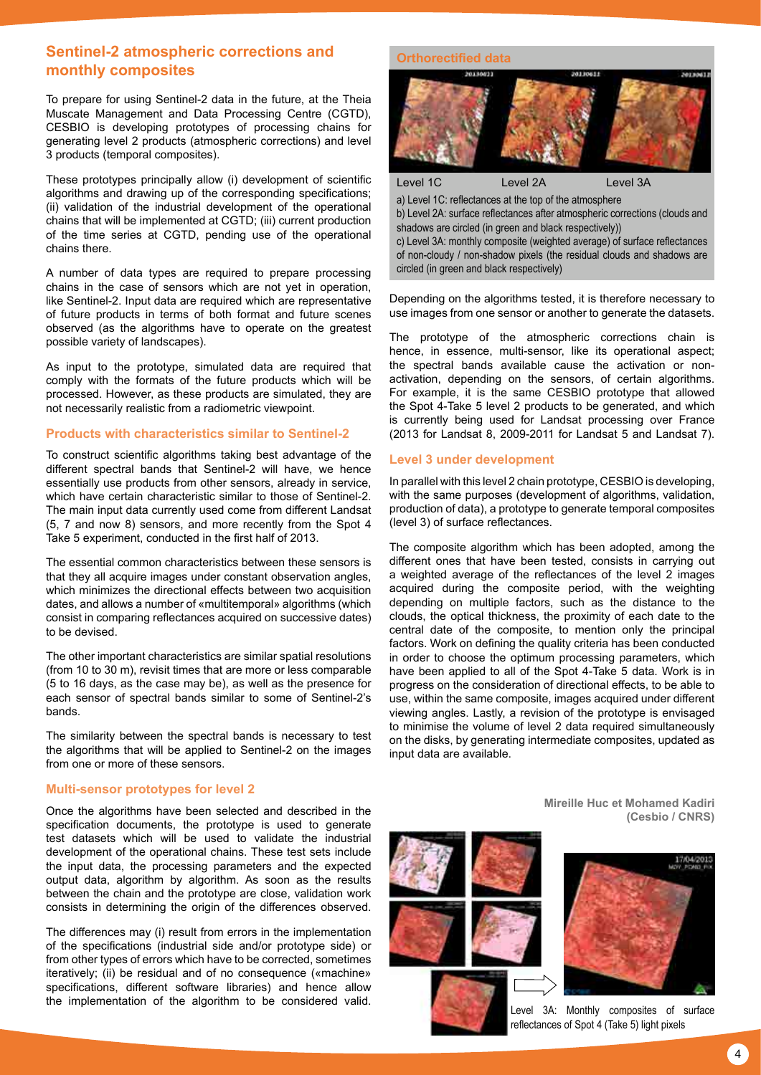# **Sentinel-2 atmospheric corrections and monthly composites**

To prepare for using Sentinel-2 data in the future, at the Theia Muscate Management and Data Processing Centre (CGTD), CESBIO is developing prototypes of processing chains for generating level 2 products (atmospheric corrections) and level 3 products (temporal composites).

These prototypes principally allow (i) development of scientific algorithms and drawing up of the corresponding specifications; (ii) validation of the industrial development of the operational chains that will be implemented at CGTD; (iii) current production of the time series at CGTD, pending use of the operational chains there.

A number of data types are required to prepare processing chains in the case of sensors which are not yet in operation, like Sentinel-2. Input data are required which are representative of future products in terms of both format and future scenes observed (as the algorithms have to operate on the greatest possible variety of landscapes).

As input to the prototype, simulated data are required that comply with the formats of the future products which will be processed. However, as these products are simulated, they are not necessarily realistic from a radiometric viewpoint.

#### **Products with characteristics similar to Sentinel-2**

To construct scientific algorithms taking best advantage of the different spectral bands that Sentinel-2 will have, we hence essentially use products from other sensors, already in service, which have certain characteristic similar to those of Sentinel-2. The main input data currently used come from different Landsat (5, 7 and now 8) sensors, and more recently from the Spot 4 Take 5 experiment, conducted in the first half of 2013.

The essential common characteristics between these sensors is that they all acquire images under constant observation angles, which minimizes the directional effects between two acquisition dates, and allows a number of «multitemporal» algorithms (which consist in comparing reflectances acquired on successive dates) to be devised.

The other important characteristics are similar spatial resolutions (from 10 to 30 m), revisit times that are more or less comparable (5 to 16 days, as the case may be), as well as the presence for each sensor of spectral bands similar to some of Sentinel-2's bands.

The similarity between the spectral bands is necessary to test the algorithms that will be applied to Sentinel-2 on the images from one or more of these sensors.

#### **Multi-sensor prototypes for level 2**

Once the algorithms have been selected and described in the specification documents, the prototype is used to generate test datasets which will be used to validate the industrial development of the operational chains. These test sets include the input data, the processing parameters and the expected output data, algorithm by algorithm. As soon as the results between the chain and the prototype are close, validation work consists in determining the origin of the differences observed.

The differences may (i) result from errors in the implementation of the specifications (industrial side and/or prototype side) or from other types of errors which have to be corrected, sometimes iteratively; (ii) be residual and of no consequence («machine» specifications, different software libraries) and hence allow the implementation of the algorithm to be considered valid.

#### **Orthorectified data**



Level 1C Level 2A Level 3A a) Level 1C: reflectances at the top of the atmosphere b) Level 2A: surface reflectances after atmospheric corrections (clouds and shadows are circled (in green and black respectively)) c) Level 3A: monthly composite (weighted average) of surface reflectances of non-cloudy / non-shadow pixels (the residual clouds and shadows are circled (in green and black respectively)

Depending on the algorithms tested, it is therefore necessary to use images from one sensor or another to generate the datasets.

The prototype of the atmospheric corrections chain is hence, in essence, multi-sensor, like its operational aspect; the spectral bands available cause the activation or nonactivation, depending on the sensors, of certain algorithms. For example, it is the same CESBIO prototype that allowed the Spot 4-Take 5 level 2 products to be generated, and which is currently being used for Landsat processing over France (2013 for Landsat 8, 2009-2011 for Landsat 5 and Landsat 7).

#### **Level 3 under development**

In parallel with this level 2 chain prototype, CESBIO is developing, with the same purposes (development of algorithms, validation, production of data), a prototype to generate temporal composites (level 3) of surface reflectances.

The composite algorithm which has been adopted, among the different ones that have been tested, consists in carrying out a weighted average of the reflectances of the level 2 images acquired during the composite period, with the weighting depending on multiple factors, such as the distance to the clouds, the optical thickness, the proximity of each date to the central date of the composite, to mention only the principal factors. Work on defining the quality criteria has been conducted in order to choose the optimum processing parameters, which have been applied to all of the Spot 4-Take 5 data. Work is in progress on the consideration of directional effects, to be able to use, within the same composite, images acquired under different viewing angles. Lastly, a revision of the prototype is envisaged to minimise the volume of level 2 data required simultaneously on the disks, by generating intermediate composites, updated as input data are available.

> **Mireille Huc et Mohamed Kadiri (Cesbio / CNRS)**





Level 3A: Monthly composites of surface reflectances of Spot 4 (Take 5) light pixels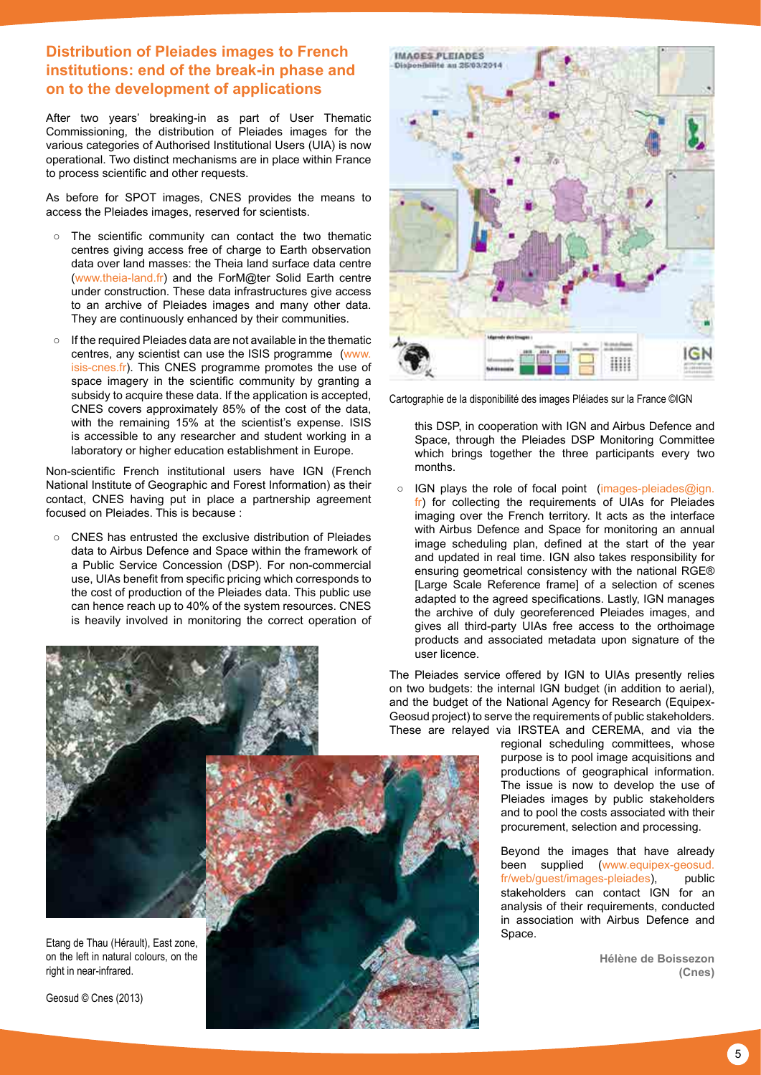# **Distribution of Pleiades images to French institutions: end of the break-in phase and on to the development of applications**

After two years' breaking-in as part of User Thematic Commissioning, the distribution of Pleiades images for the various categories of Authorised Institutional Users (UIA) is now operational. Two distinct mechanisms are in place within France to process scientific and other requests.

As before for SPOT images, CNES provides the means to access the Pleiades images, reserved for scientists.

- The scientific community can contact the two thematic centres giving access free of charge to Earth observation data over land masses: the Theia land surface data centre ([www.theia-land.fr\)](http://www.theia-land.fr) and the ForM@ter Solid Earth centre under construction. These data infrastructures give access to an archive of Pleiades images and many other data. They are continuously enhanced by their communities.
- If the required Pleiades data are not available in the thematic centres, any scientist can use the ISIS programme [\(www.](http://www.isis-cnes.fr) [isis-cnes.fr\)](http://www.isis-cnes.fr). This CNES programme promotes the use of space imagery in the scientific community by granting a subsidy to acquire these data. If the application is accepted, CNES covers approximately 85% of the cost of the data, with the remaining 15% at the scientist's expense. ISIS is accessible to any researcher and student working in a laboratory or higher education establishment in Europe.

Non-scientific French institutional users have IGN (French National Institute of Geographic and Forest Information) as their contact, CNES having put in place a partnership agreement focused on Pleiades. This is because :

○ CNES has entrusted the exclusive distribution of Pleiades data to Airbus Defence and Space within the framework of a Public Service Concession (DSP). For non-commercial use, UIAs benefit from specific pricing which corresponds to the cost of production of the Pleiades data. This public use can hence reach up to 40% of the system resources. CNES is heavily involved in monitoring the correct operation of



Cartographie de la disponibilité des images Pléiades sur la France ©IGN

this DSP, in cooperation with IGN and Airbus Defence and Space, through the Pleiades DSP Monitoring Committee which brings together the three participants every two months.

IGN plays the role of focal point [\(images-pleiades@ign.](mailto:images-pleiades%40ign.fr?subject=) [fr](mailto:images-pleiades%40ign.fr?subject=)) for collecting the requirements of UIAs for Pleiades imaging over the French territory. It acts as the interface with Airbus Defence and Space for monitoring an annual image scheduling plan, defined at the start of the year and updated in real time. IGN also takes responsibility for ensuring geometrical consistency with the national RGE® [Large Scale Reference frame] of a selection of scenes adapted to the agreed specifications. Lastly, IGN manages the archive of duly georeferenced Pleiades images, and gives all third-party UIAs free access to the orthoimage products and associated metadata upon signature of the user licence.

The Pleiades service offered by IGN to UIAs presently relies on two budgets: the internal IGN budget (in addition to aerial), and the budget of the National Agency for Research (Equipex-Geosud project) to serve the requirements of public stakeholders. These are relayed via IRSTEA and CEREMA, and via the

regional scheduling committees, whose purpose is to pool image acquisitions and productions of geographical information. The issue is now to develop the use of Pleiades images by public stakeholders and to pool the costs associated with their procurement, selection and processing.

Beyond the images that have already been supplied [\(www.equipex-geosud.](http://www.equipex-geosud.fr/web/guest/images-pleiades) [fr/web/guest/images-pleiades\)](http://www.equipex-geosud.fr/web/guest/images-pleiades), public stakeholders can contact IGN for an analysis of their requirements, conducted in association with Airbus Defence and Space.

> **Hélène de Boissezon (Cnes)**

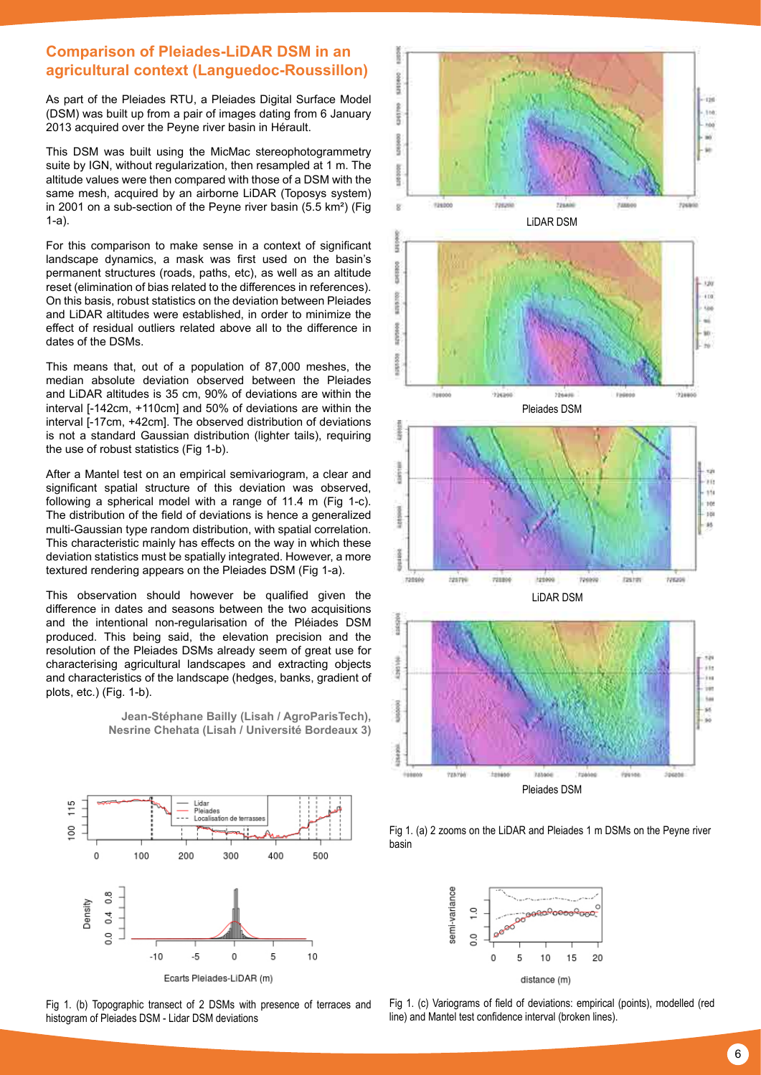# **Comparison of Pleiades-LiDAR DSM in an agricultural context (Languedoc-Roussillon)**

As part of the Pleiades RTU, a Pleiades Digital Surface Model (DSM) was built up from a pair of images dating from 6 January 2013 acquired over the Peyne river basin in Hérault.

This DSM was built using the MicMac stereophotogrammetry suite by IGN, without regularization, then resampled at 1 m. The altitude values were then compared with those of a DSM with the same mesh, acquired by an airborne LiDAR (Toposys system) in 2001 on a sub-section of the Peyne river basin (5.5 km²) (Fig 1-a).

For this comparison to make sense in a context of significant landscape dynamics, a mask was first used on the basin's permanent structures (roads, paths, etc), as well as an altitude reset (elimination of bias related to the differences in references). On this basis, robust statistics on the deviation between Pleiades and LiDAR altitudes were established, in order to minimize the effect of residual outliers related above all to the difference in dates of the DSMs.

This means that, out of a population of 87,000 meshes, the median absolute deviation observed between the Pleiades and LiDAR altitudes is 35 cm, 90% of deviations are within the interval [-142cm, +110cm] and 50% of deviations are within the interval [-17cm, +42cm]. The observed distribution of deviations is not a standard Gaussian distribution (lighter tails), requiring the use of robust statistics (Fig 1-b).

After a Mantel test on an empirical semivariogram, a clear and significant spatial structure of this deviation was observed, following a spherical model with a range of 11.4 m (Fig 1-c). The distribution of the field of deviations is hence a generalized multi-Gaussian type random distribution, with spatial correlation. This characteristic mainly has effects on the way in which these deviation statistics must be spatially integrated. However, a more textured rendering appears on the Pleiades DSM (Fig 1-a).

This observation should however be qualified given the difference in dates and seasons between the two acquisitions and the intentional non-regularisation of the Pléiades DSM produced. This being said, the elevation precision and the resolution of the Pleiades DSMs already seem of great use for characterising agricultural landscapes and extracting objects and characteristics of the landscape (hedges, banks, gradient of plots, etc.) (Fig. 1-b).

> Lidar Plejades Localisation de terra

> > 300

400

500



200

115

8

 $\Omega$ 

100









Fig 1. (c) Variograms of field of deviations: empirical (points), modelled (red line) and Mantel test confidence interval (broken lines).

**Nesrine Chehata (Lisah / Université Bordeaux 3)**

**Jean-Stéphane Bailly (Lisah / AgroParisTech),**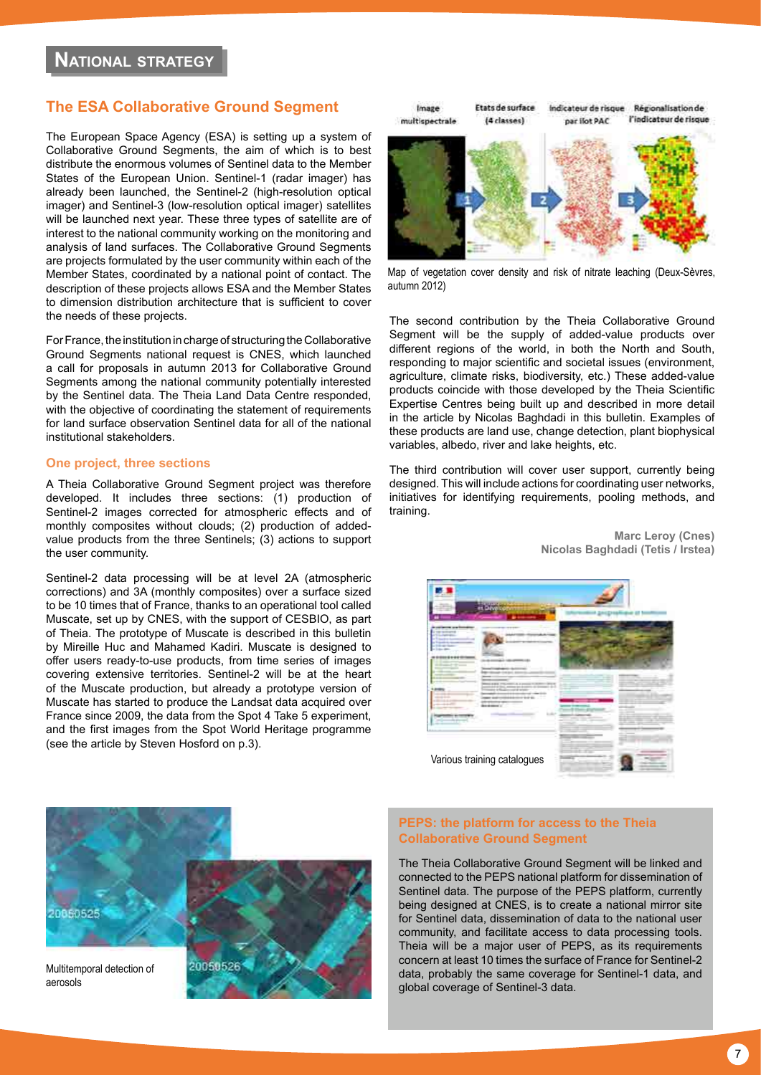# <span id="page-6-0"></span>**The ESA Collaborative Ground Segment**

The European Space Agency (ESA) is setting up a system of Collaborative Ground Segments, the aim of which is to best distribute the enormous volumes of Sentinel data to the Member States of the European Union. Sentinel-1 (radar imager) has already been launched, the Sentinel-2 (high-resolution optical imager) and Sentinel-3 (low-resolution optical imager) satellites will be launched next year. These three types of satellite are of interest to the national community working on the monitoring and analysis of land surfaces. The Collaborative Ground Segments are projects formulated by the user community within each of the Member States, coordinated by a national point of contact. The description of these projects allows ESA and the Member States to dimension distribution architecture that is sufficient to cover the needs of these projects.

For France, the institution in charge of structuring the Collaborative Ground Segments national request is CNES, which launched a call for proposals in autumn 2013 for Collaborative Ground Segments among the national community potentially interested by the Sentinel data. The Theia Land Data Centre responded, with the objective of coordinating the statement of requirements for land surface observation Sentinel data for all of the national institutional stakeholders.

#### **One project, three sections**

A Theia Collaborative Ground Segment project was therefore developed. It includes three sections: (1) production of Sentinel-2 images corrected for atmospheric effects and of monthly composites without clouds; (2) production of addedvalue products from the three Sentinels; (3) actions to support the user community.

Sentinel-2 data processing will be at level 2A (atmospheric corrections) and 3A (monthly composites) over a surface sized to be 10 times that of France, thanks to an operational tool called Muscate, set up by CNES, with the support of CESBIO, as part of Theia. The prototype of Muscate is described in this bulletin by Mireille Huc and Mahamed Kadiri. Muscate is designed to offer users ready-to-use products, from time series of images covering extensive territories. Sentinel-2 will be at the heart of the Muscate production, but already a prototype version of Muscate has started to produce the Landsat data acquired over France since 2009, the data from the Spot 4 Take 5 experiment, and the first images from the Spot World Heritage programme (see the article by Steven Hosford on p.3).



Map of vegetation cover density and risk of nitrate leaching (Deux-Sèvres, autumn 2012)

The second contribution by the Theia Collaborative Ground Segment will be the supply of added-value products over different regions of the world, in both the North and South, responding to major scientific and societal issues (environment, agriculture, climate risks, biodiversity, etc.) These added-value products coincide with those developed by the Theia Scientific Expertise Centres being built up and described in more detail in the article by Nicolas Baghdadi in this bulletin. Examples of these products are land use, change detection, plant biophysical variables, albedo, river and lake heights, etc.

The third contribution will cover user support, currently being designed. This will include actions for coordinating user networks, initiatives for identifying requirements, pooling methods, and training.

**Marc Leroy (Cnes)**

 **Nicolas Baghdadi (Tetis / Irstea)**





#### **PEPS: the platform for access to the Theia Collaborative Ground Segment**

The Theia Collaborative Ground Segment will be linked and connected to the PEPS national platform for dissemination of Sentinel data. The purpose of the PEPS platform, currently being designed at CNES, is to create a national mirror site for Sentinel data, dissemination of data to the national user community, and facilitate access to data processing tools. Theia will be a major user of PEPS, as its requirements concern at least 10 times the surface of France for Sentinel-2 data, probably the same coverage for Sentinel-1 data, and global coverage of Sentinel-3 data.

aerosols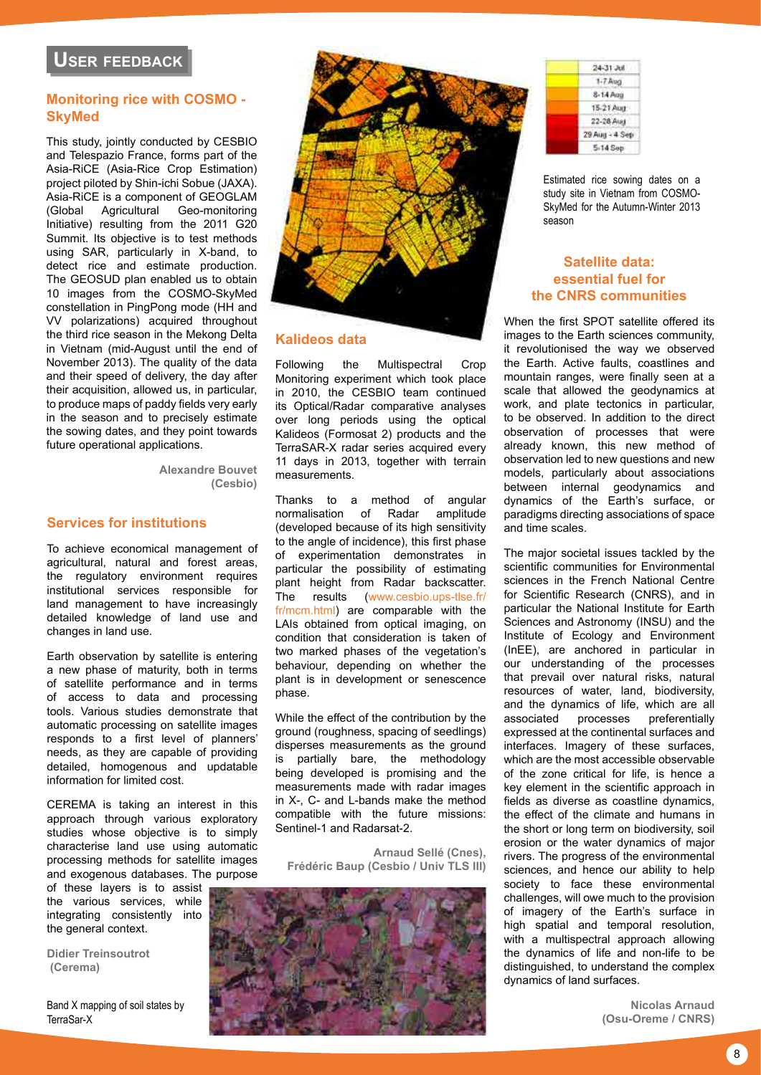# <span id="page-7-0"></span>**Monitoring rice with COSMO - SkyMed**

This study, jointly conducted by CESBIO and Telespazio France, forms part of the Asia-RiCE (Asia-Rice Crop Estimation) project piloted by Shin-ichi Sobue (JAXA). Asia-RiCE is a component of GEOGLAM<br>(Global Agricultural Geo-monitoring) (Global Agricultural Geo-monitoring Initiative) resulting from the 2011 G20 Summit. Its objective is to test methods using SAR, particularly in X-band, to detect rice and estimate production. The GEOSUD plan enabled us to obtain 10 images from the COSMO-SkyMed constellation in PingPong mode (HH and VV polarizations) acquired throughout the third rice season in the Mekong Delta in Vietnam (mid-August until the end of November 2013). The quality of the data and their speed of delivery, the day after their acquisition, allowed us, in particular, to produce maps of paddy fields very early in the season and to precisely estimate the sowing dates, and they point towards future operational applications.

> **Alexandre Bouvet (Cesbio)**

# **Services for institutions**

To achieve economical management of agricultural, natural and forest areas, the regulatory environment requires institutional services responsible for land management to have increasingly detailed knowledge of land use and changes in land use.

Earth observation by satellite is entering a new phase of maturity, both in terms of satellite performance and in terms of access to data and processing tools. Various studies demonstrate that automatic processing on satellite images responds to a first level of planners' needs, as they are capable of providing detailed, homogenous and updatable information for limited cost.

CEREMA is taking an interest in this approach through various exploratory studies whose objective is to simply characterise land use using automatic processing methods for satellite images and exogenous databases. The purpose

of these layers is to assist the various services, while integrating consistently into the general context.

**Didier Treinsoutrot (Cerema)**

Band X mapping of soil states by TerraSar-X



#### **Kalideos data**

Following the Multispectral Crop Monitoring experiment which took place in 2010, the CESBIO team continued its Optical/Radar comparative analyses over long periods using the optical Kalideos (Formosat 2) products and the TerraSAR-X radar series acquired every 11 days in 2013, together with terrain measurements.

Thanks to a method of angular normalisation of Radar amplitude (developed because of its high sensitivity to the angle of incidence), this first phase of experimentation demonstrates in particular the possibility of estimating plant height from Radar backscatter. The results [\(www.cesbio.ups-tlse.fr/](http://www.cesbio.ups-tlse.fr/fr/mcm.html) [fr/mcm.html](http://www.cesbio.ups-tlse.fr/fr/mcm.html)) are comparable with the LAIs obtained from optical imaging, on condition that consideration is taken of two marked phases of the vegetation's behaviour, depending on whether the plant is in development or senescence phase.

While the effect of the contribution by the ground (roughness, spacing of seedlings) disperses measurements as the ground is partially bare, the methodology being developed is promising and the measurements made with radar images in X-, C- and L-bands make the method compatible with the future missions: Sentinel-1 and Radarsat-2.

**Arnaud Sellé (Cnes), Frédéric Baup (Cesbio / Univ TLS III)** 



| 24-31 Jul      |
|----------------|
| $1 - 7$ Avag   |
| 8-14 App       |
| 15-21 Aug.     |
| 22-28 Aud      |
| 29 Aug - 4 Sep |
| 5-14 Sep       |

Estimated rice sowing dates on a study site in Vietnam from COSMO-SkyMed for the Autumn-Winter 2013 season

# **Satellite data: essential fuel for the CNRS communities**

When the first SPOT satellite offered its images to the Earth sciences community, it revolutionised the way we observed the Earth. Active faults, coastlines and mountain ranges, were finally seen at a scale that allowed the geodynamics at work, and plate tectonics in particular, to be observed. In addition to the direct observation of processes that were already known, this new method of observation led to new questions and new models, particularly about associations between internal geodynamics and dynamics of the Earth's surface, or paradigms directing associations of space and time scales.

The major societal issues tackled by the scientific communities for Environmental sciences in the French National Centre for Scientific Research (CNRS), and in particular the National Institute for Earth Sciences and Astronomy (INSU) and the Institute of Ecology and Environment (InEE), are anchored in particular in our understanding of the processes that prevail over natural risks, natural resources of water, land, biodiversity, and the dynamics of life, which are all preferentially expressed at the continental surfaces and interfaces. Imagery of these surfaces, which are the most accessible observable of the zone critical for life, is hence a key element in the scientific approach in fields as diverse as coastline dynamics, the effect of the climate and humans in the short or long term on biodiversity, soil erosion or the water dynamics of major rivers. The progress of the environmental sciences, and hence our ability to help society to face these environmental challenges, will owe much to the provision of imagery of the Earth's surface in high spatial and temporal resolution, with a multispectral approach allowing the dynamics of life and non-life to be distinguished, to understand the complex dynamics of land surfaces.

> **Nicolas Arnaud (Osu-Oreme / CNRS)**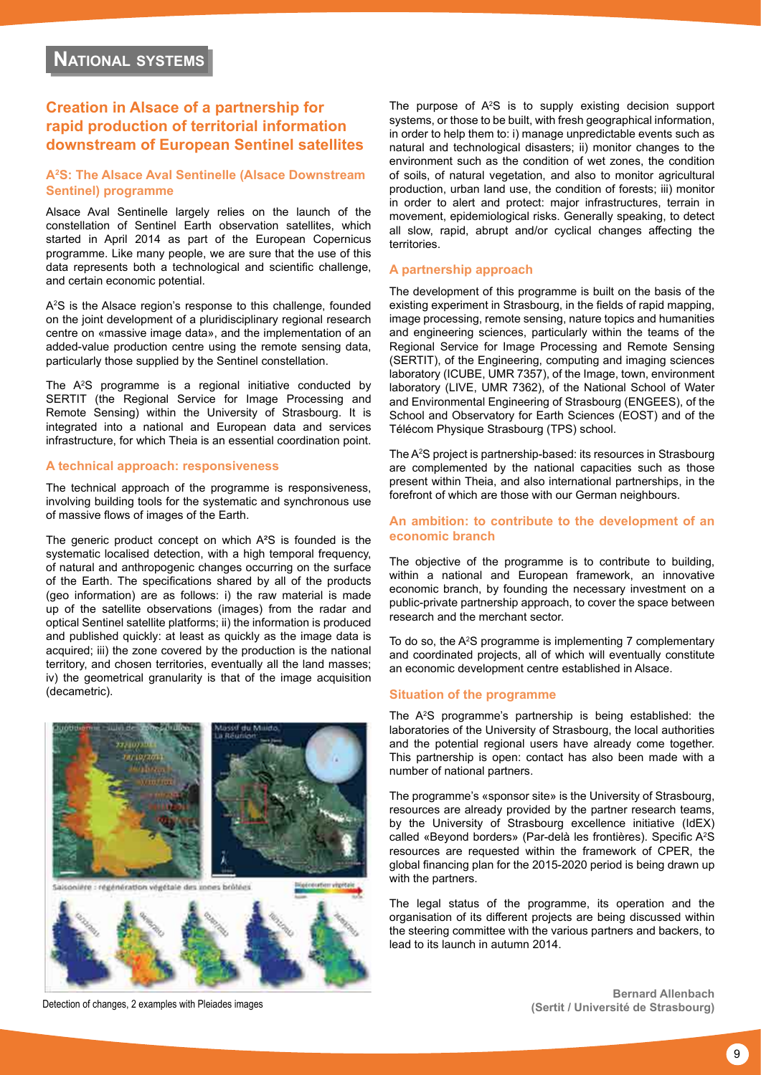# <span id="page-8-0"></span>**Creation in Alsace of a partnership for rapid production of territorial information downstream of European Sentinel satellites**

#### **A2 S: The Alsace Aval Sentinelle (Alsace Downstream Sentinel) programme**

Alsace Aval Sentinelle largely relies on the launch of the constellation of Sentinel Earth observation satellites, which started in April 2014 as part of the European Copernicus programme. Like many people, we are sure that the use of this data represents both a technological and scientific challenge, and certain economic potential.

A2 S is the Alsace region's response to this challenge, founded on the joint development of a pluridisciplinary regional research centre on «massive image data», and the implementation of an added-value production centre using the remote sensing data, particularly those supplied by the Sentinel constellation.

The A2 S programme is a regional initiative conducted by SERTIT (the Regional Service for Image Processing and Remote Sensing) within the University of Strasbourg. It is integrated into a national and European data and services infrastructure, for which Theia is an essential coordination point.

#### **A technical approach: responsiveness**

The technical approach of the programme is responsiveness, involving building tools for the systematic and synchronous use of massive flows of images of the Earth.

The generic product concept on which A<sup>2</sup>S is founded is the systematic localised detection, with a high temporal frequency, of natural and anthropogenic changes occurring on the surface of the Earth. The specifications shared by all of the products (geo information) are as follows: i) the raw material is made up of the satellite observations (images) from the radar and optical Sentinel satellite platforms; ii) the information is produced and published quickly: at least as quickly as the image data is acquired; iii) the zone covered by the production is the national territory, and chosen territories, eventually all the land masses; iv) the geometrical granularity is that of the image acquisition (decametric).





The purpose of  $A^2S$  is to supply existing decision support systems, or those to be built, with fresh geographical information, in order to help them to: i) manage unpredictable events such as natural and technological disasters; ii) monitor changes to the environment such as the condition of wet zones, the condition of soils, of natural vegetation, and also to monitor agricultural production, urban land use, the condition of forests; iii) monitor in order to alert and protect: major infrastructures, terrain in movement, epidemiological risks. Generally speaking, to detect all slow, rapid, abrupt and/or cyclical changes affecting the territories.

#### **A partnership approach**

The development of this programme is built on the basis of the existing experiment in Strasbourg, in the fields of rapid mapping, image processing, remote sensing, nature topics and humanities and engineering sciences, particularly within the teams of the Regional Service for Image Processing and Remote Sensing (SERTIT), of the Engineering, computing and imaging sciences laboratory (ICUBE, UMR 7357), of the Image, town, environment laboratory (LIVE, UMR 7362), of the National School of Water and Environmental Engineering of Strasbourg (ENGEES), of the School and Observatory for Earth Sciences (EOST) and of the Télécom Physique Strasbourg (TPS) school.

The A2 S project is partnership-based: its resources in Strasbourg are complemented by the national capacities such as those present within Theia, and also international partnerships, in the forefront of which are those with our German neighbours.

#### **An ambition: to contribute to the development of an economic branch**

The objective of the programme is to contribute to building, within a national and European framework, an innovative economic branch, by founding the necessary investment on a public-private partnership approach, to cover the space between research and the merchant sector.

To do so, the A2 S programme is implementing 7 complementary and coordinated projects, all of which will eventually constitute an economic development centre established in Alsace.

#### **Situation of the programme**

The A2 S programme's partnership is being established: the laboratories of the University of Strasbourg, the local authorities and the potential regional users have already come together. This partnership is open: contact has also been made with a number of national partners.

The programme's «sponsor site» is the University of Strasbourg, resources are already provided by the partner research teams, by the University of Strasbourg excellence initiative (IdEX) called «Beyond borders» (Par-delà les frontières). Specific A<sup>2</sup>S resources are requested within the framework of CPER, the global financing plan for the 2015-2020 period is being drawn up with the partners.

The legal status of the programme, its operation and the organisation of its different projects are being discussed within the steering committee with the various partners and backers, to lead to its launch in autumn 2014.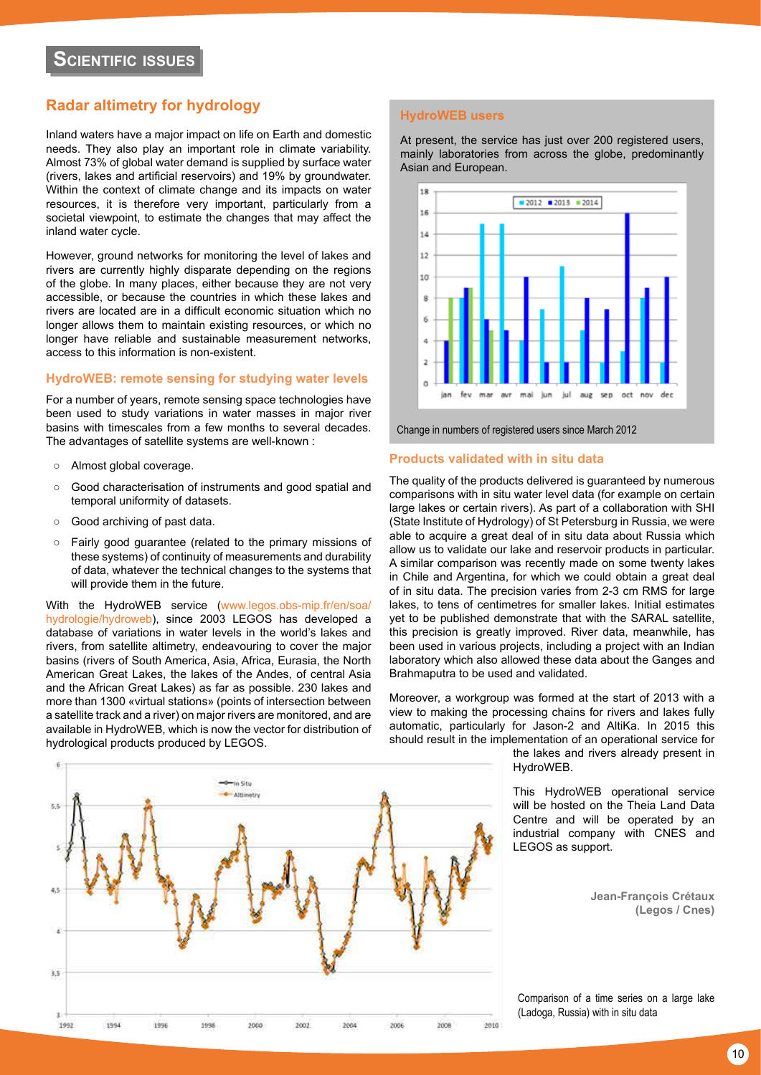# <span id="page-9-0"></span>**Radar altimetry for hydrology**

Inland waters have a major impact on life on Earth and domestic needs. They also play an important role in climate variability. Almost 73% of global water demand is supplied by surface water (rivers, lakes and artificial reservoirs) and 19% by groundwater. Within the context of climate change and its impacts on water resources, it is therefore very important, particularly from a societal viewpoint, to estimate the changes that may affect the inland water cycle.

However, ground networks for monitoring the level of lakes and rivers are currently highly disparate depending on the regions of the globe. In many places, either because they are not very accessible, or because the countries in which these lakes and rivers are located are in a difficult economic situation which no longer allows them to maintain existing resources, or which no longer have reliable and sustainable measurement networks, access to this information is non-existent.

#### **HydroWEB: remote sensing for studying water levels**

For a number of years, remote sensing space technologies have been used to study variations in water masses in major river basins with timescales from a few months to several decades. The advantages of satellite systems are well-known :

- Almost global coverage.
- Good characterisation of instruments and good spatial and temporal uniformity of datasets.
- Good archiving of past data.
- Fairly good guarantee (related to the primary missions of these systems) of continuity of measurements and durability of data, whatever the technical changes to the systems that will provide them in the future.

With the HydroWEB service [\(www.legos.obs-mip.fr/en/soa/](http://www.legos.obs-mip.fr/en/soa/hydrologie/hydroweb/) [hydrologie/hydroweb](http://www.legos.obs-mip.fr/en/soa/hydrologie/hydroweb/)), since 2003 LEGOS has developed a database of variations in water levels in the world's lakes and rivers, from satellite altimetry, endeavouring to cover the major basins (rivers of South America, Asia, Africa, Eurasia, the North American Great Lakes, the lakes of the Andes, of central Asia and the African Great Lakes) as far as possible. 230 lakes and more than 1300 «virtual stations» (points of intersection between a satellite track and a river) on major rivers are monitored, and are available in HydroWEB, which is now the vector for distribution of hydrological products produced by LEGOS.

# 16 14

18

**HydroWEB users**

Asian and European.

 $12$ 10 8 oct nov fev mar avr mai jun jul aug sep

At present, the service has just over 200 registered users, mainly laboratories from across the globe, predominantly

 $-2012 - 2013 - 2014$ 

Change in numbers of registered users since March 2012

#### **Products validated with in situ data**

The quality of the products delivered is guaranteed by numerous comparisons with in situ water level data (for example on certain large lakes or certain rivers). As part of a collaboration with SHI (State Institute of Hydrology) of St Petersburg in Russia, we were able to acquire a great deal of in situ data about Russia which allow us to validate our lake and reservoir products in particular. A similar comparison was recently made on some twenty lakes in Chile and Argentina, for which we could obtain a great deal of in situ data. The precision varies from 2-3 cm RMS for large lakes, to tens of centimetres for smaller lakes. Initial estimates yet to be published demonstrate that with the SARAL satellite, this precision is greatly improved. River data, meanwhile, has been used in various projects, including a project with an Indian laboratory which also allowed these data about the Ganges and Brahmaputra to be used and validated.

Moreover, a workgroup was formed at the start of 2013 with a view to making the processing chains for rivers and lakes fully automatic, particularly for Jason-2 and AltiKa. In 2015 this should result in the implementation of an operational service for

the lakes and rivers already present in HydroWEB.

This HydroWEB operational service will be hosted on the Theia Land Data Centre and will be operated by an industrial company with CNES and LEGOS as support.

> **Jean-François Crétaux (Legos / Cnes)**



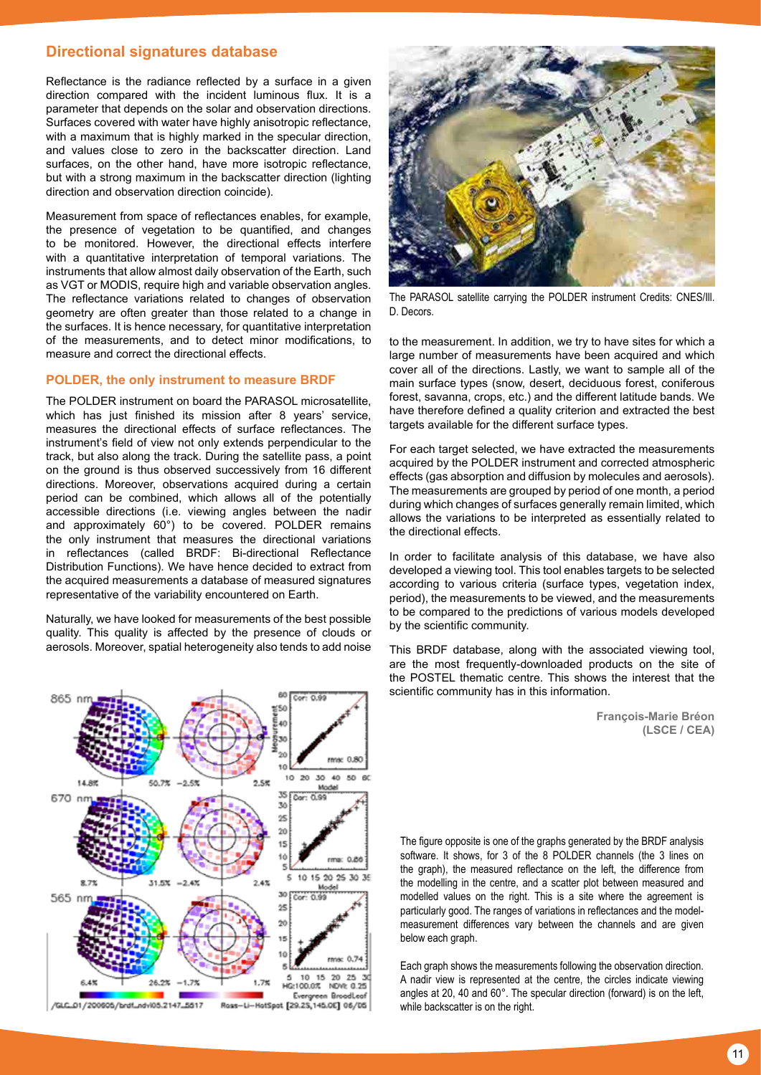### **Directional signatures database**

Reflectance is the radiance reflected by a surface in a given direction compared with the incident luminous flux. It is a parameter that depends on the solar and observation directions. Surfaces covered with water have highly anisotropic reflectance, with a maximum that is highly marked in the specular direction, and values close to zero in the backscatter direction. Land surfaces, on the other hand, have more isotropic reflectance, but with a strong maximum in the backscatter direction (lighting direction and observation direction coincide).

Measurement from space of reflectances enables, for example, the presence of vegetation to be quantified, and changes to be monitored. However, the directional effects interfere with a quantitative interpretation of temporal variations. The instruments that allow almost daily observation of the Earth, such as VGT or MODIS, require high and variable observation angles. The reflectance variations related to changes of observation geometry are often greater than those related to a change in the surfaces. It is hence necessary, for quantitative interpretation of the measurements, and to detect minor modifications, to measure and correct the directional effects.

#### **POLDER, the only instrument to measure BRDF**

The POLDER instrument on board the PARASOL microsatellite, which has just finished its mission after 8 years' service, measures the directional effects of surface reflectances. The instrument's field of view not only extends perpendicular to the track, but also along the track. During the satellite pass, a point on the ground is thus observed successively from 16 different directions. Moreover, observations acquired during a certain period can be combined, which allows all of the potentially accessible directions (i.e. viewing angles between the nadir and approximately 60°) to be covered. POLDER remains the only instrument that measures the directional variations in reflectances (called BRDF: Bi-directional Reflectance Distribution Functions). We have hence decided to extract from the acquired measurements a database of measured signatures representative of the variability encountered on Earth.

Naturally, we have looked for measurements of the best possible quality. This quality is affected by the presence of clouds or aerosols. Moreover, spatial heterogeneity also tends to add noise





The PARASOL satellite carrying the POLDER instrument Credits: CNES/Ill. D. Decors.

to the measurement. In addition, we try to have sites for which a large number of measurements have been acquired and which cover all of the directions. Lastly, we want to sample all of the main surface types (snow, desert, deciduous forest, coniferous forest, savanna, crops, etc.) and the different latitude bands. We have therefore defined a quality criterion and extracted the best targets available for the different surface types.

For each target selected, we have extracted the measurements acquired by the POLDER instrument and corrected atmospheric effects (gas absorption and diffusion by molecules and aerosols). The measurements are grouped by period of one month, a period during which changes of surfaces generally remain limited, which allows the variations to be interpreted as essentially related to the directional effects.

In order to facilitate analysis of this database, we have also developed a viewing tool. This tool enables targets to be selected according to various criteria (surface types, vegetation index, period), the measurements to be viewed, and the measurements to be compared to the predictions of various models developed by the scientific community.

This BRDF database, along with the associated viewing tool, are the most frequently-downloaded products on the site of the POSTEL thematic centre. This shows the interest that the scientific community has in this information.

> **François-Marie Bréon (LSCE / CEA)**

The figure opposite is one of the graphs generated by the BRDF analysis software. It shows, for 3 of the 8 POLDER channels (the 3 lines on the graph), the measured reflectance on the left, the difference from the modelling in the centre, and a scatter plot between measured and modelled values on the right. This is a site where the agreement is particularly good. The ranges of variations in reflectances and the modelmeasurement differences vary between the channels and are given below each graph.

Each graph shows the measurements following the observation direction. A nadir view is represented at the centre, the circles indicate viewing angles at 20, 40 and 60°. The specular direction (forward) is on the left, while backscatter is on the right.